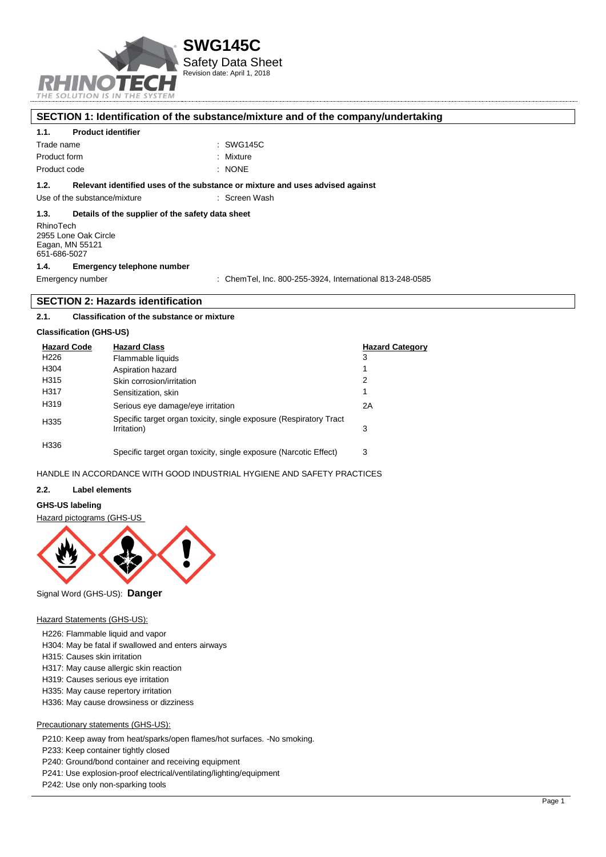

| SECTION 1: Identification of the substance/mixture and of the company/undertaking |  |
|-----------------------------------------------------------------------------------|--|
|-----------------------------------------------------------------------------------|--|

#### **1.1. Product identifier**

| Trade name   | : SWG145C |
|--------------|-----------|
| Product form | : Mixture |
| Product code | : NONE    |

#### **1.2. Relevant identified uses of the substance or mixture and uses advised against**

Use of the substance/mixture **interest and the substance/mixture** intervalsed in Screen Wash

#### **1.3. Details of the supplier of the safety data sheet**

RhinoTech 2955 Lone Oak Circle Eagan, MN 55121 651-686-5027

#### **1.4. Emergency telephone number**

Emergency number : ChemTel, Inc. 800-255-3924, International 813-248-0585

#### **SECTION 2: Hazards identification**

#### **2.1. Classification of the substance or mixture**

#### **Classification (GHS-US)**

| <b>Hazard Code</b> | <b>Hazard Class</b>                                                               | <b>Hazard Category</b> |
|--------------------|-----------------------------------------------------------------------------------|------------------------|
| H <sub>226</sub>   | Flammable liquids                                                                 | 3                      |
| H304               | Aspiration hazard                                                                 |                        |
| H315               | Skin corrosion/irritation                                                         | 2                      |
| H317               | Sensitization, skin                                                               |                        |
| H319               | Serious eye damage/eye irritation                                                 | 2A                     |
| H335               | Specific target organ toxicity, single exposure (Respiratory Tract<br>Irritation) | 3                      |
| H336               | Specific target organ toxicity, single exposure (Narcotic Effect)                 | 3                      |

## HANDLE IN ACCORDANCE WITH GOOD INDUSTRIAL HYGIENE AND SAFETY PRACTICES

#### **2.2. Label elements**

#### **GHS-US labeling**

Hazard pictograms (GHS-US



#### Signal Word (GHS-US): **Danger**

#### Hazard Statements (GHS-US):

- H226: Flammable liquid and vapor
- H304: May be fatal if swallowed and enters airways
- H315: Causes skin irritation
- H317: May cause allergic skin reaction
- H319: Causes serious eye irritation
- H335: May cause repertory irritation
- H336: May cause drowsiness or dizziness

#### Precautionary statements (GHS-US):

P210: Keep away from heat/sparks/open flames/hot surfaces. -No smoking.

P233: Keep container tightly closed

- P240: Ground/bond container and receiving equipment
- P241: Use explosion-proof electrical/ventilating/lighting/equipment
- P242: Use only non-sparking tools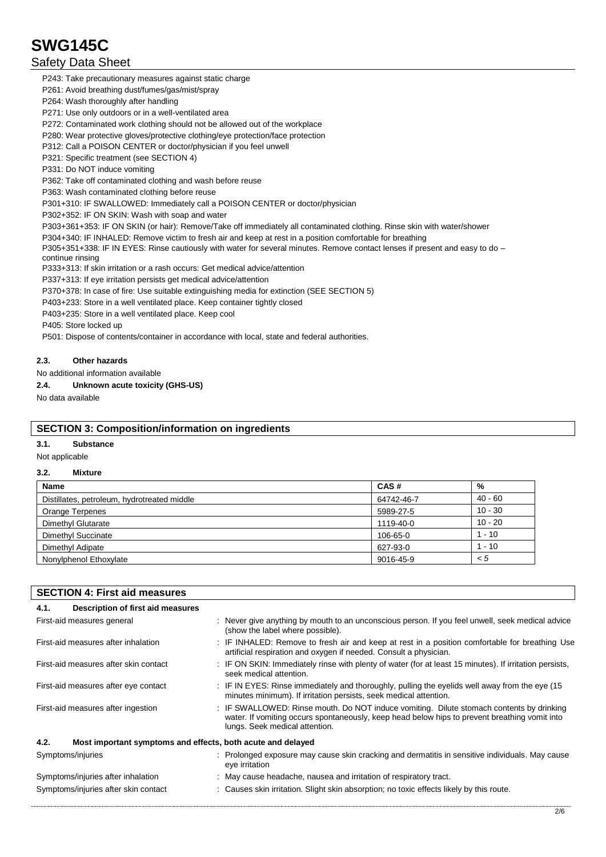## Safety Data Sheet

P243: Take precautionary measures against static charge

P261: Avoid breathing dust/fumes/gas/mist/spray

P264: Wash thoroughly after handling

P271: Use only outdoors or in a well-ventilated area

P272: Contaminated work clothing should not be allowed out of the workplace

P280: Wear protective gloves/protective clothing/eye protection/face protection

P312: Call a POISON CENTER or doctor/physician if you feel unwell

P321: Specific treatment (see SECTION 4)

P331: Do NOT induce vomiting

P362: Take off contaminated clothing and wash before reuse

P363: Wash contaminated clothing before reuse

P301+310: IF SWALLOWED: Immediately call a POISON CENTER or doctor/physician

P302+352: IF ON SKIN: Wash with soap and water

P303+361+353: IF ON SKIN (or hair): Remove/Take off immediately all contaminated clothing. Rinse skin with water/shower

P304+340: IF INHALED: Remove victim to fresh air and keep at rest in a position comfortable for breathing

P305+351+338: IF IN EYES: Rinse cautiously with water for several minutes. Remove contact lenses if present and easy to do continue rinsing

P333+313: If skin irritation or a rash occurs: Get medical advice/attention

P337+313: If eye irritation persists get medical advice/attention

P370+378: In case of fire: Use suitable extinguishing media for extinction (SEE SECTION 5)

P403+233: Store in a well ventilated place. Keep container tightly closed

P403+235: Store in a well ventilated place. Keep cool

P405: Store locked up

P501: Dispose of contents/container in accordance with local, state and federal authorities.

### **2.3. Other hazards**

No additional information available

**2.4. Unknown acute toxicity (GHS-US)**

No data available

### **SECTION 3: Composition/information on ingredients**

**3.1. Substance**

Not applicable

## **3.2. Mixture**

| <b>Name</b>                                 | CAS#       | %         |
|---------------------------------------------|------------|-----------|
| Distillates, petroleum, hydrotreated middle | 64742-46-7 | $40 - 60$ |
| Orange Terpenes                             | 5989-27-5  | $10 - 30$ |
| Dimethyl Glutarate                          | 1119-40-0  | $10 - 20$ |
| Dimethyl Succinate                          | 106-65-0   | $1 - 10$  |
| Dimethyl Adipate                            | 627-93-0   | $1 - 10$  |
| Nonylphenol Ethoxylate                      | 9016-45-9  | < 5       |

| <b>SECTION 4: First aid measures</b>                                |                                                                                                                                                                                                                             |  |  |  |
|---------------------------------------------------------------------|-----------------------------------------------------------------------------------------------------------------------------------------------------------------------------------------------------------------------------|--|--|--|
| Description of first aid measures<br>4.1.                           |                                                                                                                                                                                                                             |  |  |  |
| First-aid measures general                                          | : Never give anything by mouth to an unconscious person. If you feel unwell, seek medical advice<br>(show the label where possible).                                                                                        |  |  |  |
| First-aid measures after inhalation                                 | : IF INHALED: Remove to fresh air and keep at rest in a position comfortable for breathing Use<br>artificial respiration and oxygen if needed. Consult a physician.                                                         |  |  |  |
| First-aid measures after skin contact                               | : IF ON SKIN: Immediately rinse with plenty of water (for at least 15 minutes). If irritation persists,<br>seek medical attention.                                                                                          |  |  |  |
| First-aid measures after eye contact                                | : IF IN EYES: Rinse immediately and thoroughly, pulling the eyelids well away from the eye (15<br>minutes minimum). If irritation persists, seek medical attention.                                                         |  |  |  |
| First-aid measures after ingestion                                  | : IF SWALLOWED: Rinse mouth. Do NOT induce vomiting. Dilute stomach contents by drinking<br>water. If vomiting occurs spontaneously, keep head below hips to prevent breathing vomit into<br>lungs. Seek medical attention. |  |  |  |
| 4.2.<br>Most important symptoms and effects, both acute and delayed |                                                                                                                                                                                                                             |  |  |  |
| Symptoms/injuries                                                   | : Prolonged exposure may cause skin cracking and dermatitis in sensitive individuals. May cause<br>eye irritation                                                                                                           |  |  |  |
| Symptoms/injuries after inhalation                                  | : May cause headache, nausea and irritation of respiratory tract.                                                                                                                                                           |  |  |  |
| Symptoms/injuries after skin contact                                | : Causes skin irritation. Slight skin absorption; no toxic effects likely by this route.                                                                                                                                    |  |  |  |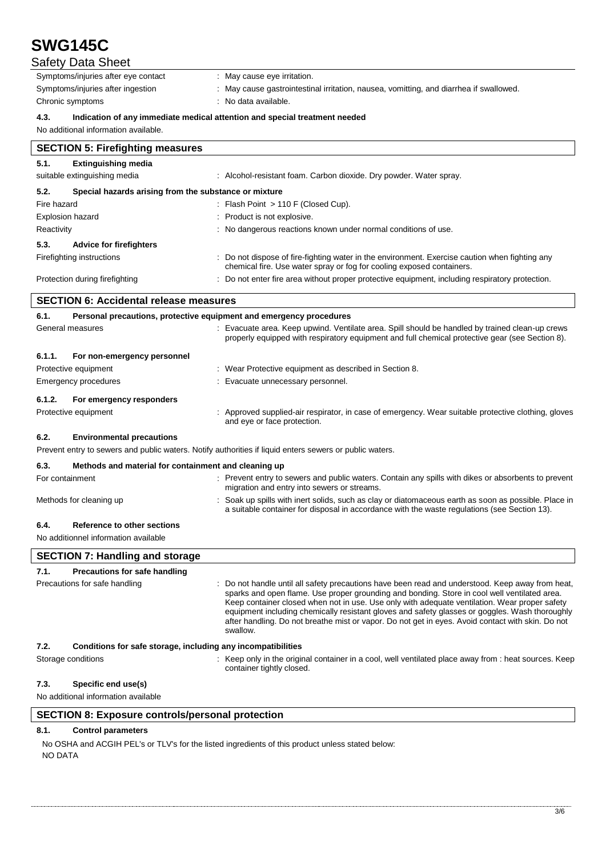| <b>SWG145C</b>                                                                             |                                                                                                                                                                                                                                                                                                                                                                                                                                                                                                                    |
|--------------------------------------------------------------------------------------------|--------------------------------------------------------------------------------------------------------------------------------------------------------------------------------------------------------------------------------------------------------------------------------------------------------------------------------------------------------------------------------------------------------------------------------------------------------------------------------------------------------------------|
| <b>Safety Data Sheet</b>                                                                   |                                                                                                                                                                                                                                                                                                                                                                                                                                                                                                                    |
| Symptoms/injuries after eye contact                                                        | : May cause eye irritation.                                                                                                                                                                                                                                                                                                                                                                                                                                                                                        |
| Symptoms/injuries after ingestion                                                          | May cause gastrointestinal irritation, nausea, vomitting, and diarrhea if swallowed.                                                                                                                                                                                                                                                                                                                                                                                                                               |
| Chronic symptoms                                                                           | No data available.                                                                                                                                                                                                                                                                                                                                                                                                                                                                                                 |
| 4.3.<br>No additional information available.                                               | Indication of any immediate medical attention and special treatment needed                                                                                                                                                                                                                                                                                                                                                                                                                                         |
|                                                                                            |                                                                                                                                                                                                                                                                                                                                                                                                                                                                                                                    |
| <b>SECTION 5: Firefighting measures</b>                                                    |                                                                                                                                                                                                                                                                                                                                                                                                                                                                                                                    |
| 5.1.<br><b>Extinguishing media</b>                                                         |                                                                                                                                                                                                                                                                                                                                                                                                                                                                                                                    |
| suitable extinguishing media                                                               | : Alcohol-resistant foam. Carbon dioxide. Dry powder. Water spray.                                                                                                                                                                                                                                                                                                                                                                                                                                                 |
| 5.2.<br>Special hazards arising from the substance or mixture                              |                                                                                                                                                                                                                                                                                                                                                                                                                                                                                                                    |
| Fire hazard                                                                                | : Flash Point $> 110$ F (Closed Cup).                                                                                                                                                                                                                                                                                                                                                                                                                                                                              |
| <b>Explosion hazard</b>                                                                    | Product is not explosive.                                                                                                                                                                                                                                                                                                                                                                                                                                                                                          |
| Reactivity                                                                                 | No dangerous reactions known under normal conditions of use.                                                                                                                                                                                                                                                                                                                                                                                                                                                       |
| 5.3.<br><b>Advice for firefighters</b>                                                     |                                                                                                                                                                                                                                                                                                                                                                                                                                                                                                                    |
| Firefighting instructions                                                                  | : Do not dispose of fire-fighting water in the environment. Exercise caution when fighting any<br>chemical fire. Use water spray or fog for cooling exposed containers.                                                                                                                                                                                                                                                                                                                                            |
| Protection during firefighting                                                             | Do not enter fire area without proper protective equipment, including respiratory protection.                                                                                                                                                                                                                                                                                                                                                                                                                      |
| <b>SECTION 6: Accidental release measures</b>                                              |                                                                                                                                                                                                                                                                                                                                                                                                                                                                                                                    |
| 6.1.                                                                                       | Personal precautions, protective equipment and emergency procedures                                                                                                                                                                                                                                                                                                                                                                                                                                                |
| General measures                                                                           | : Evacuate area. Keep upwind. Ventilate area. Spill should be handled by trained clean-up crews<br>properly equipped with respiratory equipment and full chemical protective gear (see Section 8).                                                                                                                                                                                                                                                                                                                 |
| 6.1.1.<br>For non-emergency personnel                                                      |                                                                                                                                                                                                                                                                                                                                                                                                                                                                                                                    |
| Protective equipment                                                                       | : Wear Protective equipment as described in Section 8.                                                                                                                                                                                                                                                                                                                                                                                                                                                             |
| <b>Emergency procedures</b>                                                                | Evacuate unnecessary personnel.                                                                                                                                                                                                                                                                                                                                                                                                                                                                                    |
| 6.1.2.<br>For emergency responders                                                         |                                                                                                                                                                                                                                                                                                                                                                                                                                                                                                                    |
| Protective equipment                                                                       | Approved supplied-air respirator, in case of emergency. Wear suitable protective clothing, gloves<br>and eye or face protection.                                                                                                                                                                                                                                                                                                                                                                                   |
| 6.2.<br><b>Environmental precautions</b>                                                   |                                                                                                                                                                                                                                                                                                                                                                                                                                                                                                                    |
|                                                                                            | Prevent entry to sewers and public waters. Notify authorities if liquid enters sewers or public waters.                                                                                                                                                                                                                                                                                                                                                                                                            |
| 6.3.<br>Methods and material for containment and cleaning up                               |                                                                                                                                                                                                                                                                                                                                                                                                                                                                                                                    |
| For containment                                                                            | : Prevent entry to sewers and public waters. Contain any spills with dikes or absorbents to prevent<br>migration and entry into sewers or streams.                                                                                                                                                                                                                                                                                                                                                                 |
| Methods for cleaning up                                                                    | : Soak up spills with inert solids, such as clay or diatomaceous earth as soon as possible. Place in<br>a suitable container for disposal in accordance with the waste regulations (see Section 13).                                                                                                                                                                                                                                                                                                               |
| Reference to other sections<br>6.4.                                                        |                                                                                                                                                                                                                                                                                                                                                                                                                                                                                                                    |
| No additionnel information available                                                       |                                                                                                                                                                                                                                                                                                                                                                                                                                                                                                                    |
| <b>SECTION 7: Handling and storage</b>                                                     |                                                                                                                                                                                                                                                                                                                                                                                                                                                                                                                    |
| 7.1.<br><b>Precautions for safe handling</b>                                               |                                                                                                                                                                                                                                                                                                                                                                                                                                                                                                                    |
| Precautions for safe handling                                                              | Do not handle until all safety precautions have been read and understood. Keep away from heat,<br>sparks and open flame. Use proper grounding and bonding. Store in cool well ventilated area.<br>Keep container closed when not in use. Use only with adequate ventilation. Wear proper safety<br>equipment including chemically resistant gloves and safety glasses or goggles. Wash thoroughly<br>after handling. Do not breathe mist or vapor. Do not get in eyes. Avoid contact with skin. Do not<br>swallow. |
|                                                                                            |                                                                                                                                                                                                                                                                                                                                                                                                                                                                                                                    |
| 7.2.<br>Conditions for safe storage, including any incompatibilities<br>Storage conditions | : Keep only in the original container in a cool, well ventilated place away from : heat sources. Keep                                                                                                                                                                                                                                                                                                                                                                                                              |
|                                                                                            | container tightly closed.                                                                                                                                                                                                                                                                                                                                                                                                                                                                                          |
| 7.3.<br>Specific end use(s)                                                                |                                                                                                                                                                                                                                                                                                                                                                                                                                                                                                                    |
| No additional information available                                                        |                                                                                                                                                                                                                                                                                                                                                                                                                                                                                                                    |
| <b>SECTION 8: Exposure controls/personal protection</b>                                    |                                                                                                                                                                                                                                                                                                                                                                                                                                                                                                                    |
| 8.1.<br><b>Control parameters</b>                                                          |                                                                                                                                                                                                                                                                                                                                                                                                                                                                                                                    |

No OSHA and ACGIH PEL's or TLV's for the listed ingredients of this product unless stated below: NO DATA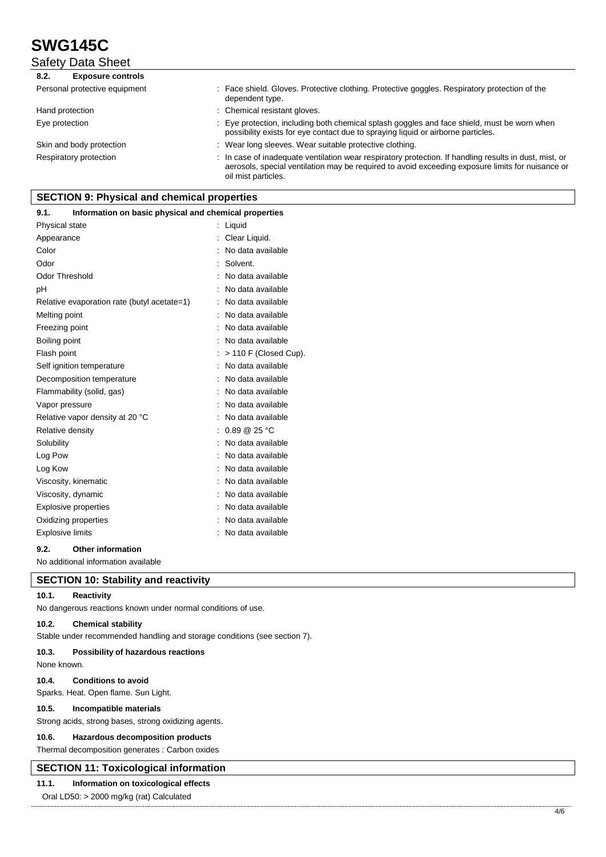Safety Data Sheet

| <b>Exposure controls</b><br>8.2. |                                                                                                                                                                                                                                   |
|----------------------------------|-----------------------------------------------------------------------------------------------------------------------------------------------------------------------------------------------------------------------------------|
| Personal protective equipment    | : Face shield. Gloves. Protective clothing. Protective goggles. Respiratory protection of the<br>dependent type.                                                                                                                  |
| Hand protection                  | : Chemical resistant gloves.                                                                                                                                                                                                      |
| Eye protection                   | : Eye protection, including both chemical splash goggles and face shield, must be worn when<br>possibility exists for eye contact due to spraying liquid or airborne particles.                                                   |
| Skin and body protection         | : Wear long sleeves. Wear suitable protective clothing.                                                                                                                                                                           |
| Respiratory protection           | : In case of inadequate ventilation wear respiratory protection. If handling results in dust, mist, or<br>aerosols, special ventilation may be required to avoid exceeding exposure limits for nuisance or<br>oil mist particles. |

## **SECTION 9: Physical and chemical properties**

#### **9.1. Information on basic physical and chemical properties**

| Physical state                              | Liquid                      |
|---------------------------------------------|-----------------------------|
| Appearance                                  | Clear Liquid.               |
| Color                                       | No data available           |
| Odor                                        | Solvent.                    |
| <b>Odor Threshold</b>                       | No data available           |
| рH                                          | No data available           |
| Relative evaporation rate (butyl acetate=1) | No data available           |
| Melting point                               | No data available           |
| Freezing point                              | No data available           |
| Boiling point                               | No data available           |
| Flash point                                 | > 110 F (Closed Cup).       |
| Self ignition temperature                   | No data available           |
| Decomposition temperature                   | No data available           |
| Flammability (solid, gas)                   | No data available           |
| Vapor pressure                              | No data available           |
| Relative vapor density at 20 °C             | No data available           |
| Relative density                            | $0.89 \ @ \ 25 \ ^{\circ}C$ |
| Solubility                                  | No data available           |
| Log Pow                                     | No data available           |
| Log Kow                                     | No data available           |
| Viscosity, kinematic                        | No data available           |
| Viscosity, dynamic                          | No data available           |
| <b>Explosive properties</b>                 | No data available           |
| Oxidizing properties                        | No data available           |
| Explosive limits                            | No data available           |
|                                             |                             |

#### **9.2. Other information**

No additional information available

### **SECTION 10: Stability and reactivity**

## **10.1. Reactivity**

No dangerous reactions known under normal conditions of use.

#### **10.2. Chemical stability**

Stable under recommended handling and storage conditions (see section 7).

#### **10.3. Possibility of hazardous reactions**

None known.

#### **10.4. Conditions to avoid**

Sparks. Heat. Open flame. Sun Light.

#### **10.5. Incompatible materials**

Strong acids, strong bases, strong oxidizing agents.

#### **10.6. Hazardous decomposition products**

Thermal decomposition generates : Carbon oxides

## **SECTION 11: Toxicological information**

## **11.1. Information on toxicological effects**

Oral LD50: > 2000 mg/kg (rat) Calculated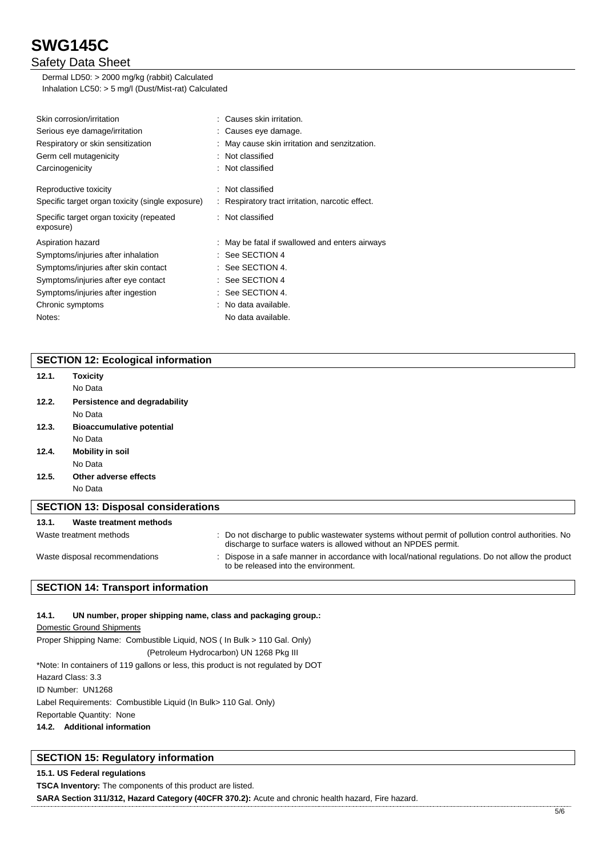## Safety Data Sheet

Dermal LD50: > 2000 mg/kg (rabbit) Calculated Inhalation LC50: > 5 mg/l (Dust/Mist-rat) Calculated

| Skin corrosion/irritation                             | : Causes skin irritation.                        |
|-------------------------------------------------------|--------------------------------------------------|
| Serious eye damage/irritation                         | : Causes eye damage.                             |
| Respiratory or skin sensitization                     | : May cause skin irritation and senzitzation.    |
| Germ cell mutagenicity                                | : Not classified                                 |
| Carcinogenicity                                       | : Not classified                                 |
| Reproductive toxicity                                 | : Not classified                                 |
| Specific target organ toxicity (single exposure)      | : Respiratory tract irritation, narcotic effect. |
| Specific target organ toxicity (repeated<br>exposure) | : Not classified                                 |
| Aspiration hazard                                     | : May be fatal if swallowed and enters airways   |
| Symptoms/injuries after inhalation                    | $:$ See SECTION 4                                |
| Symptoms/injuries after skin contact                  | : See SECTION 4.                                 |
| Symptoms/injuries after eye contact                   | : See SECTION 4                                  |
| Symptoms/injuries after ingestion                     | : See SECTION 4.                                 |
| Chronic symptoms                                      | : No data available.                             |
| Notes:                                                | No data available.                               |
|                                                       |                                                  |

## **SECTION 12: Ecological information**

| 12.1.                                      | Toxicity                                                                                                                                                                   |  |                                                                                                                                                                        |  |
|--------------------------------------------|----------------------------------------------------------------------------------------------------------------------------------------------------------------------------|--|------------------------------------------------------------------------------------------------------------------------------------------------------------------------|--|
|                                            | No Data                                                                                                                                                                    |  |                                                                                                                                                                        |  |
| 12.2.                                      | Persistence and degradability                                                                                                                                              |  |                                                                                                                                                                        |  |
|                                            | No Data                                                                                                                                                                    |  |                                                                                                                                                                        |  |
| 12.3.                                      | <b>Bioaccumulative potential</b>                                                                                                                                           |  |                                                                                                                                                                        |  |
|                                            | No Data                                                                                                                                                                    |  |                                                                                                                                                                        |  |
| 12.4.                                      | <b>Mobility in soil</b>                                                                                                                                                    |  |                                                                                                                                                                        |  |
|                                            | No Data                                                                                                                                                                    |  |                                                                                                                                                                        |  |
| 12.5.                                      | Other adverse effects                                                                                                                                                      |  |                                                                                                                                                                        |  |
|                                            | No Data                                                                                                                                                                    |  |                                                                                                                                                                        |  |
| <b>SECTION 13: Disposal considerations</b> |                                                                                                                                                                            |  |                                                                                                                                                                        |  |
| 13.1.                                      | Waste treatment methods                                                                                                                                                    |  |                                                                                                                                                                        |  |
|                                            | Waste treatment methods                                                                                                                                                    |  | : Do not discharge to public wastewater systems without permit of pollution control authorities. No<br>discharge to surface waters is allowed without an NPDES permit. |  |
|                                            | Dispose in a safe manner in accordance with local/national regulations. Do not allow the product<br>Waste disposal recommendations<br>to be released into the environment. |  |                                                                                                                                                                        |  |

## **SECTION 14: Transport information**

#### **14.1. UN number, proper shipping name, class and packaging group.:**

Domestic Ground Shipments Proper Shipping Name: Combustible Liquid, NOS ( In Bulk > 110 Gal. Only) (Petroleum Hydrocarbon) UN 1268 Pkg III \*Note: In containers of 119 gallons or less, this product is not regulated by DOT Hazard Class: 3.3 ID Number: UN1268 Label Requirements: Combustible Liquid (In Bulk> 110 Gal. Only) Reportable Quantity: None **14.2. Additional information**

## **SECTION 15: Regulatory information**

### **15.1. US Federal regulations**

**TSCA Inventory:** The components of this product are listed.

**SARA Section 311/312, Hazard Category (40CFR 370.2):** Acute and chronic health hazard, Fire hazard.